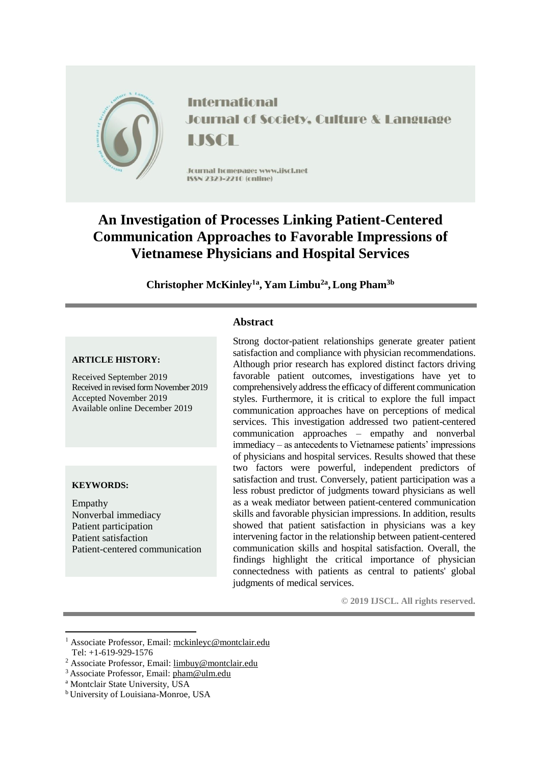

# **An Investigation of Processes Linking Patient-Centered Communication Approaches to Favorable Impressions of Vietnamese Physicians and Hospital Services**

**Christopher McKinley1a , Yam Limbu2a ,Long Pham3b**

**Abstract**

#### **ARTICLE HISTORY:**

Received September 2019 Received in revised form November 2019 Accepted November 2019 Available online December 2019

#### **KEYWORDS:**

Empathy Nonverbal immediacy Patient participation Patient satisfaction Patient-centered communication

# Strong doctor-patient relationships generate greater patient satisfaction and compliance with physician recommendations. Although prior research has explored distinct factors driving favorable patient outcomes, investigations have yet to comprehensively address the efficacy of different communication

styles. Furthermore, it is critical to explore the full impact communication approaches have on perceptions of medical services. This investigation addressed two patient-centered communication approaches – empathy and nonverbal immediacy – as antecedents to Vietnamese patients' impressions of physicians and hospital services. Results showed that these two factors were powerful, independent predictors of satisfaction and trust. Conversely, patient participation was a less robust predictor of judgments toward physicians as well as a weak mediator between patient-centered communication skills and favorable physician impressions. In addition, results showed that patient satisfaction in physicians was a key intervening factor in the relationship between patient-centered communication skills and hospital satisfaction. Overall, the findings highlight the critical importance of physician connectedness with patients as central to patients' global judgments of medical services.

**© 2019 IJSCL. All rights reserved.**

<sup>1</sup> <sup>1</sup> Associate Professor, Email: [mckinleyc@montclair.edu](mailto:mckinleyc@montclair.edu) Tel: +1-619-929-1576

<sup>2</sup> Associate Professor, Email: [limbuy@montclair.edu](mailto:limbuy@montclair.edu)

<sup>3</sup>Associate Professor, Email: [pham@ulm.edu](mailto:pham@ulm.edu)

<sup>a</sup> Montclair State University, USA

<sup>b</sup>University of Louisiana-Monroe, USA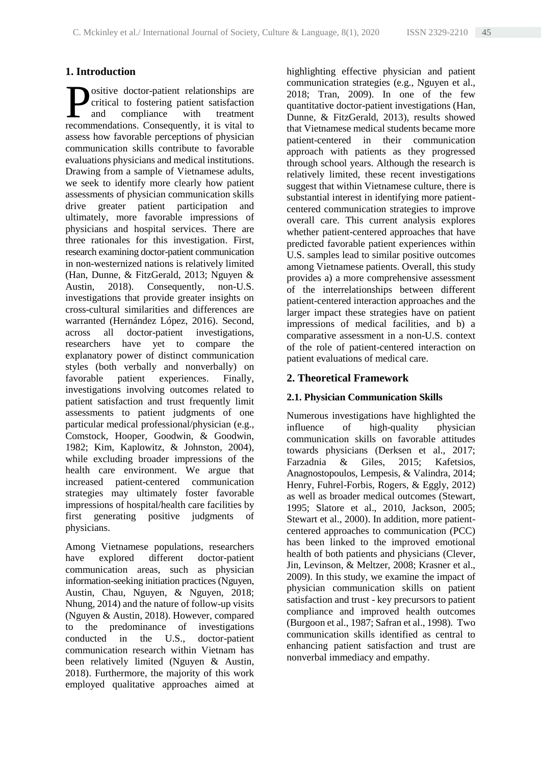# **1. Introduction**

ositive doctor-patient relationships are critical to fostering patient satisfaction and compliance with treatment **Exercise Consequent Solutions** are critical to fostering patient satisfaction and compliance with treatment recommendations. Consequently, it is vital to assess how favorable perceptions of physician communication skills contribute to favorable evaluations physicians and medical institutions. Drawing from a sample of Vietnamese adults, we seek to identify more clearly how patient assessments of physician communication skills drive greater patient participation and ultimately, more favorable impressions of physicians and hospital services. There are three rationales for this investigation. First, research examining doctor-patient communication in non-westernized nations is relatively limited (Han, Dunne, & FitzGerald, 2013; Nguyen & Austin, 2018). Consequently, non-U.S. investigations that provide greater insights on cross-cultural similarities and differences are warranted (Hernández López, 2016). Second, across all doctor-patient investigations, researchers have yet to compare the explanatory power of distinct communication styles (both verbally and nonverbally) on favorable patient experiences. Finally, investigations involving outcomes related to patient satisfaction and trust frequently limit assessments to patient judgments of one particular medical professional/physician (e.g., Comstock, Hooper, Goodwin, & Goodwin, 1982; Kim, Kaplowitz, & Johnston, 2004), while excluding broader impressions of the health care environment. We argue that increased patient-centered communication strategies may ultimately foster favorable impressions of hospital/health care facilities by first generating positive judgments of physicians.

Among Vietnamese populations, researchers have explored different doctor-patient communication areas, such as physician information-seeking initiation practices (Nguyen, Austin, Chau, Nguyen, & Nguyen, 2018; Nhung, 2014) and the nature of follow-up visits (Nguyen & Austin, 2018). However, compared to the predominance of investigations conducted in the U.S., doctor-patient communication research within Vietnam has been relatively limited (Nguyen & Austin, 2018). Furthermore, the majority of this work employed qualitative approaches aimed at highlighting effective physician and patient communication strategies (e.g., Nguyen et al., 2018; Tran, 2009). In one of the few quantitative doctor-patient investigations (Han, Dunne, & FitzGerald, 2013), results showed that Vietnamese medical students became more patient-centered in their communication approach with patients as they progressed through school years. Although the research is relatively limited, these recent investigations suggest that within Vietnamese culture, there is substantial interest in identifying more patientcentered communication strategies to improve overall care. This current analysis explores whether patient-centered approaches that have predicted favorable patient experiences within U.S. samples lead to similar positive outcomes among Vietnamese patients. Overall, this study provides a) a more comprehensive assessment of the interrelationships between different patient-centered interaction approaches and the larger impact these strategies have on patient impressions of medical facilities, and b) a comparative assessment in a non-U.S. context of the role of patient-centered interaction on patient evaluations of medical care.

# **2. Theoretical Framework**

## **2.1. Physician Communication Skills**

Numerous investigations have highlighted the influence of high-quality physician communication skills on favorable attitudes towards physicians (Derksen et al., 2017; Farzadnia & Giles, 2015; Kafetsios, Anagnostopoulos, Lempesis, & Valindra, 2014; Henry, Fuhrel-Forbis, Rogers, & Eggly, 2012) as well as broader medical outcomes (Stewart, 1995; Slatore et al., 2010, Jackson, 2005; Stewart et al., 2000). In addition, more patientcentered approaches to communication (PCC) has been linked to the improved emotional health of both patients and physicians (Clever, Jin, Levinson, & Meltzer, 2008; Krasner et al., 2009). In this study, we examine the impact of physician communication skills on patient satisfaction and trust - key precursors to patient compliance and improved health outcomes (Burgoon et al., 1987; Safran et al., 1998). Two communication skills identified as central to enhancing patient satisfaction and trust are nonverbal immediacy and empathy.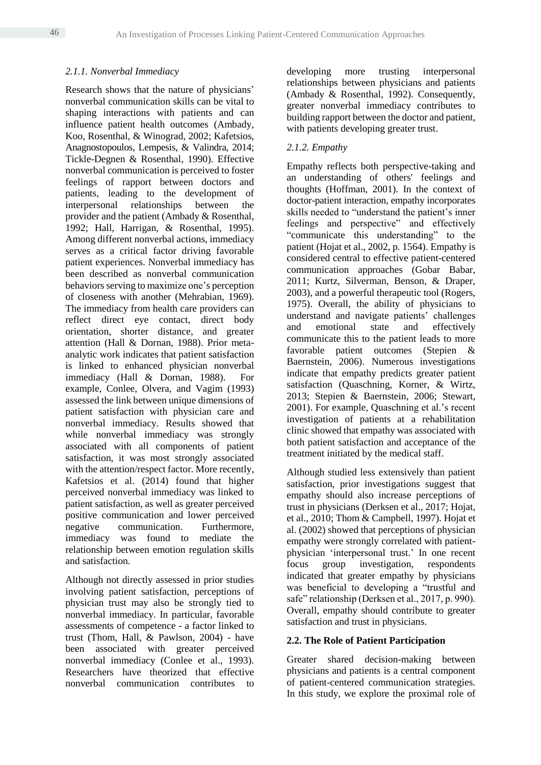#### *2.1.1. Nonverbal Immediacy*

Research shows that the nature of physicians' nonverbal communication skills can be vital to shaping interactions with patients and can influence patient health outcomes (Ambady, Koo, Rosenthal, & Winograd, 2002; Kafetsios, Anagnostopoulos, Lempesis, & Valindra, 2014; Tickle-Degnen & Rosenthal, 1990). Effective nonverbal communication is perceived to foster feelings of rapport between doctors and patients, leading to the development of interpersonal relationships between the provider and the patient (Ambady & Rosenthal, 1992; Hall, Harrigan, & Rosenthal, 1995). Among different nonverbal actions, immediacy serves as a critical factor driving favorable patient experiences. Nonverbal immediacy has been described as nonverbal communication behaviors serving to maximize one's perception of closeness with another (Mehrabian, 1969). The immediacy from health care providers can reflect direct eye contact, direct body orientation, shorter distance, and greater attention (Hall & Dornan, 1988). Prior metaanalytic work indicates that patient satisfaction is linked to enhanced physician nonverbal immediacy (Hall & Dornan, 1988). For example, Conlee, Olvera, and Vagim (1993) assessed the link between unique dimensions of patient satisfaction with physician care and nonverbal immediacy. Results showed that while nonverbal immediacy was strongly associated with all components of patient satisfaction, it was most strongly associated with the attention/respect factor. More recently, Kafetsios et al. (2014) found that higher perceived nonverbal immediacy was linked to patient satisfaction, as well as greater perceived positive communication and lower perceived negative communication. Furthermore, immediacy was found to mediate the relationship between emotion regulation skills and satisfaction.

Although not directly assessed in prior studies involving patient satisfaction, perceptions of physician trust may also be strongly tied to nonverbal immediacy. In particular, favorable assessments of competence - a factor linked to trust (Thom, Hall, & Pawlson, 2004) - have been associated with greater perceived nonverbal immediacy (Conlee et al., 1993). Researchers have theorized that effective nonverbal communication contributes to

developing more trusting interpersonal relationships between physicians and patients (Ambady & Rosenthal, 1992). Consequently, greater nonverbal immediacy contributes to building rapport between the doctor and patient, with patients developing greater trust.

#### *2.1.2. Empathy*

Empathy reflects both perspective-taking and an understanding of others' feelings and thoughts (Hoffman, 2001). In the context of doctor-patient interaction, empathy incorporates skills needed to "understand the patient's inner feelings and perspective" and effectively "communicate this understanding" to the patient (Hojat et al., 2002, p. 1564). Empathy is considered central to effective patient-centered communication approaches (Gobar Babar, 2011; Kurtz, Silverman, Benson, & Draper, 2003), and a powerful therapeutic tool (Rogers, 1975). Overall, the ability of physicians to understand and navigate patients' challenges and emotional state and effectively communicate this to the patient leads to more favorable patient outcomes (Stepien & Baernstein, 2006). Numerous investigations indicate that empathy predicts greater patient satisfaction (Quaschning, Korner, & Wirtz, 2013; Stepien & Baernstein, 2006; Stewart, 2001). For example, Quaschning et al.'s recent investigation of patients at a rehabilitation clinic showed that empathy was associated with both patient satisfaction and acceptance of the treatment initiated by the medical staff.

Although studied less extensively than patient satisfaction, prior investigations suggest that empathy should also increase perceptions of trust in physicians (Derksen et al., 2017; Hojat, et al., 2010; Thom & Campbell, 1997). Hojat et al. (2002) showed that perceptions of physician empathy were strongly correlated with patientphysician 'interpersonal trust.' In one recent focus group investigation, respondents indicated that greater empathy by physicians was beneficial to developing a "trustful and safe" relationship (Derksen et al., 2017, p. 990). Overall, empathy should contribute to greater satisfaction and trust in physicians.

#### **2.2. The Role of Patient Participation**

Greater shared decision-making between physicians and patients is a central component of patient-centered communication strategies. In this study, we explore the proximal role of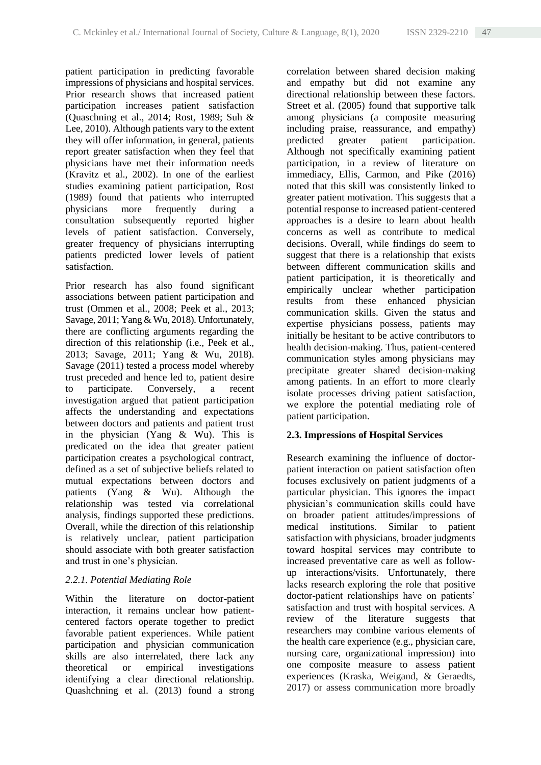patient participation in predicting favorable impressions of physicians and hospital services. Prior research shows that increased patient participation increases patient satisfaction (Quaschning et al., 2014; Rost, 1989; Suh & Lee, 2010). Although patients vary to the extent they will offer information, in general, patients report greater satisfaction when they feel that physicians have met their information needs (Kravitz et al., 2002). In one of the earliest studies examining patient participation, Rost (1989) found that patients who interrupted physicians more frequently during a consultation subsequently reported higher levels of patient satisfaction. Conversely, greater frequency of physicians interrupting patients predicted lower levels of patient satisfaction.

Prior research has also found significant associations between patient participation and trust (Ommen et al., 2008; Peek et al., 2013; Savage, 2011; Yang & Wu, 2018). Unfortunately, there are conflicting arguments regarding the direction of this relationship (i.e., Peek et al., 2013; Savage, 2011; Yang & Wu, 2018). Savage (2011) tested a process model whereby trust preceded and hence led to, patient desire to participate. Conversely, a recent investigation argued that patient participation affects the understanding and expectations between doctors and patients and patient trust in the physician (Yang & Wu). This is predicated on the idea that greater patient participation creates a psychological contract, defined as a set of subjective beliefs related to mutual expectations between doctors and patients (Yang & Wu). Although the relationship was tested via correlational analysis, findings supported these predictions. Overall, while the direction of this relationship is relatively unclear, patient participation should associate with both greater satisfaction and trust in one's physician.

## *2.2.1. Potential Mediating Role*

Within the literature on doctor-patient interaction, it remains unclear how patientcentered factors operate together to predict favorable patient experiences. While patient participation and physician communication skills are also interrelated, there lack any theoretical or empirical investigations identifying a clear directional relationship. Quashchning et al. (2013) found a strong correlation between shared decision making and empathy but did not examine any directional relationship between these factors. Street et al. (2005) found that supportive talk among physicians (a composite measuring including praise, reassurance, and empathy) predicted greater patient participation. Although not specifically examining patient participation, in a review of literature on immediacy, Ellis, Carmon, and Pike (2016) noted that this skill was consistently linked to greater patient motivation. This suggests that a potential response to increased patient-centered approaches is a desire to learn about health concerns as well as contribute to medical decisions. Overall, while findings do seem to suggest that there is a relationship that exists between different communication skills and patient participation, it is theoretically and empirically unclear whether participation results from these enhanced physician communication skills. Given the status and expertise physicians possess, patients may initially be hesitant to be active contributors to health decision-making. Thus, patient-centered communication styles among physicians may precipitate greater shared decision-making among patients. In an effort to more clearly isolate processes driving patient satisfaction, we explore the potential mediating role of patient participation.

# **2.3. Impressions of Hospital Services**

Research examining the influence of doctorpatient interaction on patient satisfaction often focuses exclusively on patient judgments of a particular physician. This ignores the impact physician's communication skills could have on broader patient attitudes/impressions of medical institutions. Similar to patient satisfaction with physicians, broader judgments toward hospital services may contribute to increased preventative care as well as followup interactions/visits. Unfortunately, there lacks research exploring the role that positive doctor-patient relationships have on patients' satisfaction and trust with hospital services. A review of the literature suggests that researchers may combine various elements of the health care experience (e.g., physician care, nursing care, organizational impression) into one composite measure to assess patient experiences (Kraska, Weigand, & Geraedts, 2017) or assess communication more broadly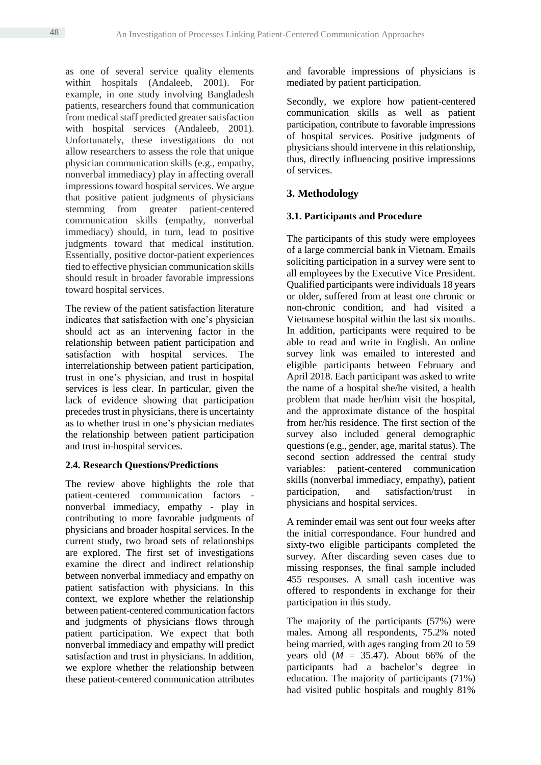as one of several service quality elements within hospitals (Andaleeb, 2001). For example, in one study involving Bangladesh patients, researchers found that communication from medical staff predicted greater satisfaction with hospital services (Andaleeb, 2001). Unfortunately, these investigations do not allow researchers to assess the role that unique physician communication skills (e.g., empathy, nonverbal immediacy) play in affecting overall impressions toward hospital services. We argue that positive patient judgments of physicians stemming from greater patient-centered communication skills (empathy, nonverbal immediacy) should, in turn, lead to positive judgments toward that medical institution. Essentially, positive doctor-patient experiences tied to effective physician communication skills should result in broader favorable impressions toward hospital services.

The review of the patient satisfaction literature indicates that satisfaction with one's physician should act as an intervening factor in the relationship between patient participation and satisfaction with hospital services. The interrelationship between patient participation, trust in one's physician, and trust in hospital services is less clear. In particular, given the lack of evidence showing that participation precedes trust in physicians, there is uncertainty as to whether trust in one's physician mediates the relationship between patient participation and trust in-hospital services.

## **2.4. Research Questions/Predictions**

The review above highlights the role that patient-centered communication factors nonverbal immediacy, empathy - play in contributing to more favorable judgments of physicians and broader hospital services. In the current study, two broad sets of relationships are explored. The first set of investigations examine the direct and indirect relationship between nonverbal immediacy and empathy on patient satisfaction with physicians. In this context, we explore whether the relationship between patient-centered communication factors and judgments of physicians flows through patient participation. We expect that both nonverbal immediacy and empathy will predict satisfaction and trust in physicians. In addition, we explore whether the relationship between these patient-centered communication attributes

and favorable impressions of physicians is mediated by patient participation.

Secondly, we explore how patient-centered communication skills as well as patient participation, contribute to favorable impressions of hospital services. Positive judgments of physicians should intervene in this relationship, thus, directly influencing positive impressions of services.

# **3. Methodology**

#### **3.1. Participants and Procedure**

The participants of this study were employees of a large commercial bank in Vietnam. Emails soliciting participation in a survey were sent to all employees by the Executive Vice President. Qualified participants were individuals 18 years or older, suffered from at least one chronic or non-chronic condition, and had visited a Vietnamese hospital within the last six months. In addition, participants were required to be able to read and write in English. An online survey link was emailed to interested and eligible participants between February and April 2018. Each participant was asked to write the name of a hospital she/he visited, a health problem that made her/him visit the hospital, and the approximate distance of the hospital from her/his residence. The first section of the survey also included general demographic questions (e.g., gender, age, marital status). The second section addressed the central study variables: patient-centered communication skills (nonverbal immediacy, empathy), patient participation, and satisfaction/trust in physicians and hospital services.

A reminder email was sent out four weeks after the initial correspondance. Four hundred and sixty-two eligible participants completed the survey. After discarding seven cases due to missing responses, the final sample included 455 responses. A small cash incentive was offered to respondents in exchange for their participation in this study.

The majority of the participants (57%) were males. Among all respondents, 75.2% noted being married, with ages ranging from 20 to 59 years old  $(M = 35.47)$ . About 66% of the participants had a bachelor's degree in education. The majority of participants (71%) had visited public hospitals and roughly 81%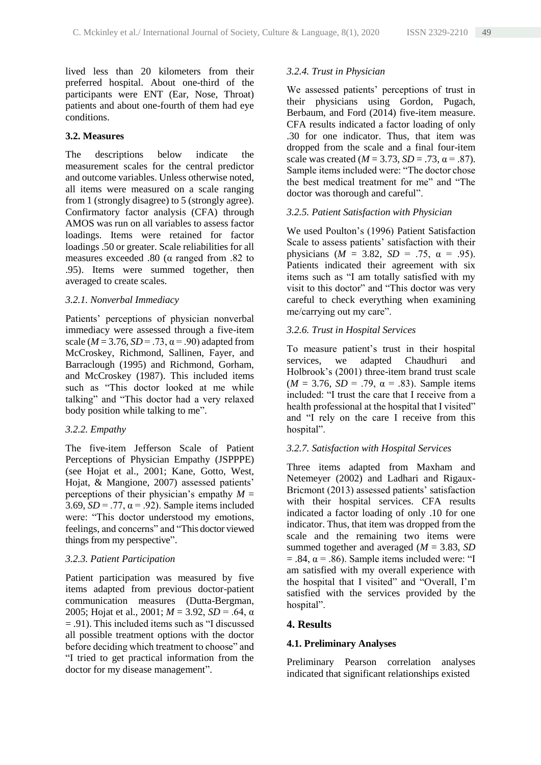lived less than 20 kilometers from their preferred hospital. About one-third of the participants were ENT (Ear, Nose, Throat) patients and about one-fourth of them had eye conditions.

#### **3.2. Measures**

The descriptions below indicate the measurement scales for the central predictor and outcome variables. Unless otherwise noted, all items were measured on a scale ranging from 1 (strongly disagree) to 5 (strongly agree). Confirmatory factor analysis (CFA) through AMOS was run on all variables to assess factor loadings. Items were retained for factor loadings .50 or greater. Scale reliabilities for all measures exceeded .80 (α ranged from .82 to .95). Items were summed together, then averaged to create scales.

## *3.2.1. Nonverbal Immediacy*

Patients' perceptions of physician nonverbal immediacy were assessed through a five-item scale ( $M = 3.76$ ,  $SD = .73$ ,  $\alpha = .90$ ) adapted from McCroskey, Richmond, Sallinen, Fayer, and Barraclough (1995) and Richmond, Gorham, and McCroskey (1987). This included items such as "This doctor looked at me while talking" and "This doctor had a very relaxed body position while talking to me".

## *3.2.2. Empathy*

The five-item Jefferson Scale of Patient Perceptions of Physician Empathy (JSPPPE) (see Hojat et al., 2001; Kane, Gotto, West, Hojat, & Mangione, 2007) assessed patients' perceptions of their physician's empathy  $M =$ 3.69,  $SD = .77$ ,  $\alpha = .92$ ). Sample items included were: "This doctor understood my emotions, feelings, and concerns" and "This doctor viewed things from my perspective".

## *3.2.3. Patient Participation*

Patient participation was measured by five items adapted from previous doctor-patient communication measures (Dutta-Bergman, 2005; Hojat et al., 2001; *M* = 3.92, *SD* = .64, α = .91). This included items such as "I discussed all possible treatment options with the doctor before deciding which treatment to choose" and "I tried to get practical information from the doctor for my disease management".

# *3.2.4. Trust in Physician*

We assessed patients' perceptions of trust in their physicians using Gordon, Pugach, Berbaum, and Ford (2014) five-item measure. CFA results indicated a factor loading of only .30 for one indicator. Thus, that item was dropped from the scale and a final four-item scale was created ( $M = 3.73$ ,  $SD = .73$ ,  $\alpha = .87$ ). Sample items included were: "The doctor chose the best medical treatment for me" and "The doctor was thorough and careful".

## *3.2.5. Patient Satisfaction with Physician*

We used Poulton's (1996) Patient Satisfaction Scale to assess patients' satisfaction with their physicians  $(M = 3.82, SD = .75, \alpha = .95)$ . Patients indicated their agreement with six items such as "I am totally satisfied with my visit to this doctor" and "This doctor was very careful to check everything when examining me/carrying out my care".

# *3.2.6. Trust in Hospital Services*

To measure patient's trust in their hospital services, we adapted Chaudhuri and Holbrook's (2001) three-item brand trust scale ( $M = 3.76$ ,  $SD = .79$ ,  $\alpha = .83$ ). Sample items included: "I trust the care that I receive from a health professional at the hospital that I visited" and "I rely on the care I receive from this hospital".

## *3.2.7. Satisfaction with Hospital Services*

Three items adapted from Maxham and Netemeyer (2002) and Ladhari and Rigaux-Bricmont (2013) assessed patients' satisfaction with their hospital services. CFA results indicated a factor loading of only .10 for one indicator. Thus, that item was dropped from the scale and the remaining two items were summed together and averaged (*M* = 3.83, *SD*  $= .84$ ,  $\alpha = .86$ ). Sample items included were: "I am satisfied with my overall experience with the hospital that I visited" and "Overall, I'm satisfied with the services provided by the hospital".

## **4. Results**

# **4.1. Preliminary Analyses**

Preliminary Pearson correlation analyses indicated that significant relationships existed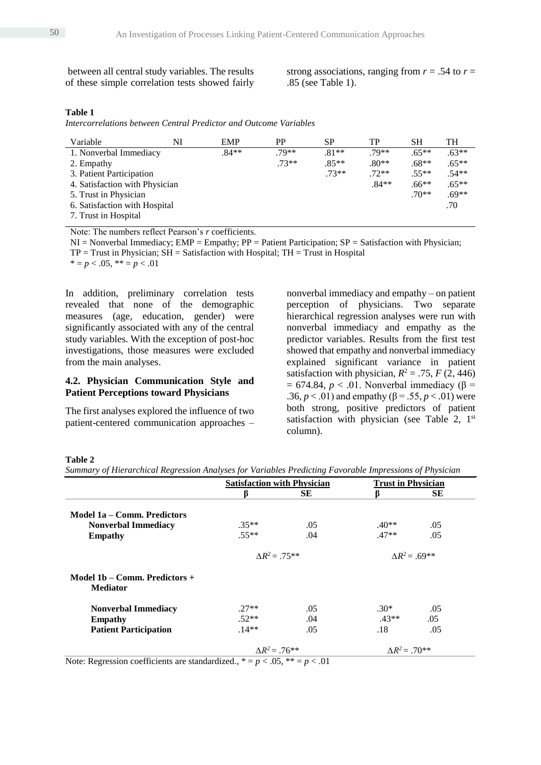between all central study variables. The results of these simple correlation tests showed fairly strong associations, ranging from  $r = .54$  to  $r =$ .85 (see Table 1).

#### **Table 1**

*Intercorrelations between Central Predictor and Outcome Variables*

| Variable                       | NI | <b>EMP</b> | <b>PP</b> | SP      | TP      | SН      | TH      |
|--------------------------------|----|------------|-----------|---------|---------|---------|---------|
| 1. Nonverbal Immediacy         |    | .84**      | $.79**$   | $.81**$ | $.79**$ | $.65**$ | $.63**$ |
| 2. Empathy                     |    |            | $.73**$   | $.85**$ | $.80**$ | $.68**$ | $.65**$ |
| 3. Patient Participation       |    |            |           | $.73**$ | $.72**$ | $.55**$ | $.54**$ |
| 4. Satisfaction with Physician |    |            |           |         | $.84**$ | $.66**$ | $.65**$ |
| 5. Trust in Physician          |    |            |           |         |         | $.70**$ | $.69**$ |
| 6. Satisfaction with Hospital  |    |            |           |         |         |         | .70     |
| 7. Trust in Hospital           |    |            |           |         |         |         |         |

Note: The numbers reflect Pearson's *r* coefficients.

 $NI = Nonverbal Immediatey; EMP = Empathy; PP = Patient Partition; SP = Satisfaction with Physician;$ TP = Trust in Physician; SH = Satisfaction with Hospital; TH = Trust in Hospital

 $* = p < .05, ** = p < .01$ 

In addition, preliminary correlation tests revealed that none of the demographic measures (age, education, gender) were significantly associated with any of the central study variables. With the exception of post-hoc investigations, those measures were excluded from the main analyses.

#### **4.2. Physician Communication Style and Patient Perceptions toward Physicians**

The first analyses explored the influence of two patient-centered communication approaches –

nonverbal immediacy and empathy – on patient perception of physicians. Two separate hierarchical regression analyses were run with nonverbal immediacy and empathy as the predictor variables. Results from the first test showed that empathy and nonverbal immediacy explained significant variance in patient satisfaction with physician,  $R^2 = .75$ ,  $F(2, 446)$  $= 674.84$ ,  $p < .01$ . Nonverbal immediacy ( $\beta =$ .36,  $p < .01$ ) and empathy ( $\beta = .55$ ,  $p < .01$ ) were both strong, positive predictors of patient satisfaction with physician (see Table 2,  $1<sup>st</sup>$ column).

#### **Table 2**

*Summary of Hierarchical Regression Analyses for Variables Predicting Favorable Impressions of Physician*

|                                                  | <b>Satisfaction with Physician</b> |           | <b>Trust in Physician</b> |           |
|--------------------------------------------------|------------------------------------|-----------|---------------------------|-----------|
|                                                  |                                    | <b>SE</b> |                           | <b>SE</b> |
| Model 1a – Comm. Predictors                      |                                    |           |                           |           |
| <b>Nonverbal Immediacy</b>                       | $.35**$                            | .05       | $.40**$                   | .05       |
| <b>Empathy</b>                                   | $.55**$                            | .04       | $.47**$                   | .05       |
|                                                  | $\Delta R^2 = .75**$               |           | $AR^2 = .69**$            |           |
| Model 1b – Comm. Predictors +<br><b>Mediator</b> |                                    |           |                           |           |
| <b>Nonverbal Immediacy</b>                       | $.27**$                            | .05       | $.30*$                    | .05       |
| <b>Empathy</b>                                   | $.52**$                            | .04       | $.43**$                   | .05       |
| <b>Patient Participation</b>                     | $.14**$                            | .05       | .18                       | .05       |
|                                                  | $AR^2 = .76**$                     |           | $\Delta R^2 = .70^{**}$   |           |

Note: Regression coefficients are standardized.,  $* = p < .05$ ,  $** = p < .01$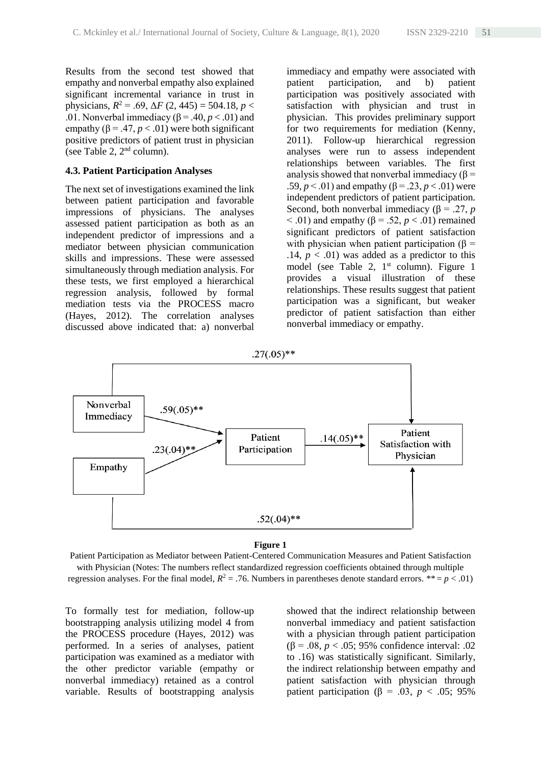Results from the second test showed that empathy and nonverbal empathy also explained significant incremental variance in trust in physicians,  $R^2 = .69$ ,  $\Delta F (2, 445) = 504.18$ ,  $p <$ .01. Nonverbal immediacy  $(\beta = .40, p < .01)$  and empathy ( $\beta$  = .47,  $p$  < .01) were both significant positive predictors of patient trust in physician (see Table 2,  $2<sup>nd</sup>$  column).

#### **4.3. Patient Participation Analyses**

The next set of investigations examined the link between patient participation and favorable impressions of physicians. The analyses assessed patient participation as both as an independent predictor of impressions and a mediator between physician communication skills and impressions. These were assessed simultaneously through mediation analysis. For these tests, we first employed a hierarchical regression analysis, followed by formal mediation tests via the PROCESS macro (Hayes, 2012). The correlation analyses discussed above indicated that: a) nonverbal

immediacy and empathy were associated with patient participation, and b) patient participation was positively associated with satisfaction with physician and trust in physician. This provides preliminary support for two requirements for mediation (Kenny, 2011). Follow-up hierarchical regression analyses were run to assess independent relationships between variables. The first analysis showed that nonverbal immediacy ( $\beta$  = .59,  $p < .01$ ) and empathy ( $\beta = .23$ ,  $p < .01$ ) were independent predictors of patient participation. Second, both nonverbal immediacy ( $\beta$  = .27, *p* < .01) and empathy (β = .52, *p* < .01) remained significant predictors of patient satisfaction with physician when patient participation ( $\beta$  = .14,  $p < .01$ ) was added as a predictor to this model (see Table 2,  $1<sup>st</sup>$  column). Figure 1 provides a visual illustration of these relationships. These results suggest that patient participation was a significant, but weaker predictor of patient satisfaction than either nonverbal immediacy or empathy.



#### **Figure 1**

Patient Participation as Mediator between Patient-Centered Communication Measures and Patient Satisfaction with Physician (Notes: The numbers reflect standardized regression coefficients obtained through multiple regression analyses. For the final model,  $R^2 = .76$ . Numbers in parentheses denote standard errors. \*\*=  $p < .01$ )

To formally test for mediation, follow-up bootstrapping analysis utilizing model 4 from the PROCESS procedure (Hayes, 2012) was performed. In a series of analyses, patient participation was examined as a mediator with the other predictor variable (empathy or nonverbal immediacy) retained as a control variable. Results of bootstrapping analysis showed that the indirect relationship between nonverbal immediacy and patient satisfaction with a physician through patient participation (β = .08, *p* < .05; 95% confidence interval: .02 to .16) was statistically significant. Similarly, the indirect relationship between empathy and patient satisfaction with physician through patient participation ( $\beta$  = .03, *p* < .05; 95%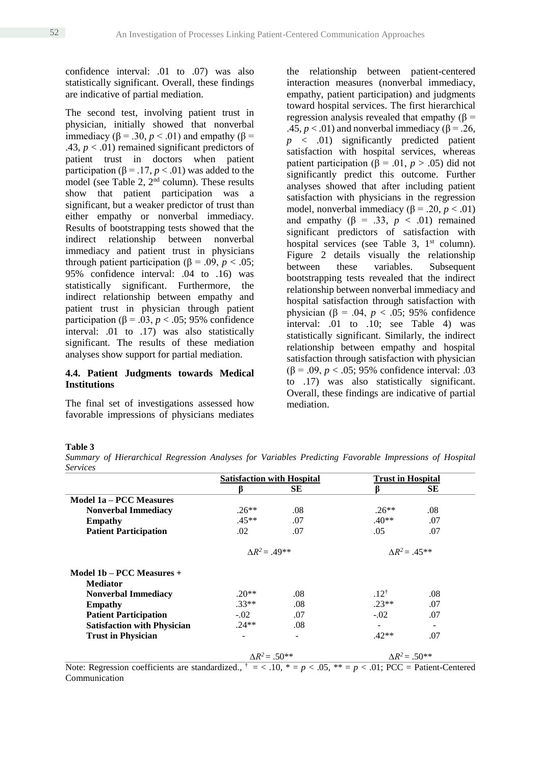confidence interval: .01 to .07) was also statistically significant. Overall, these findings are indicative of partial mediation.

The second test, involving patient trust in physician, initially showed that nonverbal immediacy ( $β = .30, p < .01$ ) and empathy ( $β =$ .43,  $p < .01$ ) remained significant predictors of patient trust in doctors when patient participation ( $\beta$  = .17, *p* < .01) was added to the model (see Table 2,  $2<sup>nd</sup>$  column). These results show that patient participation was a significant, but a weaker predictor of trust than either empathy or nonverbal immediacy. Results of bootstrapping tests showed that the indirect relationship between nonverbal immediacy and patient trust in physicians through patient participation (β = .09, *p* < .05; 95% confidence interval: .04 to .16) was statistically significant. Furthermore, the indirect relationship between empathy and patient trust in physician through patient participation (β = .03, *p* < .05; 95% confidence interval: .01 to .17) was also statistically significant. The results of these mediation analyses show support for partial mediation.

# **4.4. Patient Judgments towards Medical Institutions**

The final set of investigations assessed how favorable impressions of physicians mediates

the relationship between patient-centered interaction measures (nonverbal immediacy, empathy, patient participation) and judgments toward hospital services. The first hierarchical regression analysis revealed that empathy  $(β =$ .45,  $p < .01$ ) and nonverbal immediacy ( $\beta = .26$ , *p* < .01) significantly predicted patient satisfaction with hospital services, whereas patient participation (β = .01,  $p > .05$ ) did not significantly predict this outcome. Further analyses showed that after including patient satisfaction with physicians in the regression model, nonverbal immediacy ( $\beta$  = .20, *p* < .01) and empathy  $(\beta = .33, p < .01)$  remained significant predictors of satisfaction with hospital services (see Table 3,  $1<sup>st</sup>$  column). Figure 2 details visually the relationship between these variables. Subsequent bootstrapping tests revealed that the indirect relationship between nonverbal immediacy and hospital satisfaction through satisfaction with physician (β = .04,  $p < .05$ ; 95% confidence interval: .01 to .10; see Table 4) was statistically significant. Similarly, the indirect relationship between empathy and hospital satisfaction through satisfaction with physician (β = .09, *p* < .05; 95% confidence interval: .03 to .17) was also statistically significant. Overall, these findings are indicative of partial mediation.

#### **Table 3**

*Summary of Hierarchical Regression Analyses for Variables Predicting Favorable Impressions of Hospital Services*

|                                    | <b>Satisfaction with Hospital</b> |                          | <b>Trust in Hospital</b> |     |
|------------------------------------|-----------------------------------|--------------------------|--------------------------|-----|
|                                    | ĸ                                 | SЕ                       | ß                        | SЕ  |
| <b>Model 1a – PCC Measures</b>     |                                   |                          |                          |     |
| <b>Nonverbal Immediacy</b>         | $.26**$                           | .08                      | $.26**$                  | .08 |
| Empathy                            | $.45**$                           | .07                      | $.40**$                  | .07 |
| <b>Patient Participation</b>       | $.02\,$                           | .07                      | .05                      | .07 |
|                                    | $\Delta R^2 = 0.49**$             |                          | $\Delta R^2 = 0.45**$    |     |
| Model 1b – PCC Measures $+$        |                                   |                          |                          |     |
| <b>Mediator</b>                    |                                   |                          |                          |     |
| <b>Nonverbal Immediacy</b>         | $.20**$                           | .08                      | $.12^{\dagger}$          | .08 |
| <b>Empathy</b>                     | $.33**$                           | .08                      | $.23**$                  | .07 |
| <b>Patient Participation</b>       | $-.02$                            | .07                      | $-.02$                   | .07 |
| <b>Satisfaction with Physician</b> | $.24**$                           | .08                      |                          |     |
| <b>Trust in Physician</b>          |                                   | $\overline{\phantom{a}}$ | $.42**$                  | .07 |
|                                    | $\Delta R^2 = .50^{**}$           |                          | $\Delta R^2 = .50^{**}$  |     |

Note: Regression coefficients are standardized.,  $\dagger = \langle 10, * \rangle = p \langle 0.05, ** \rangle = p \langle 0.01, PCC \rangle =$  Patient-Centered Communication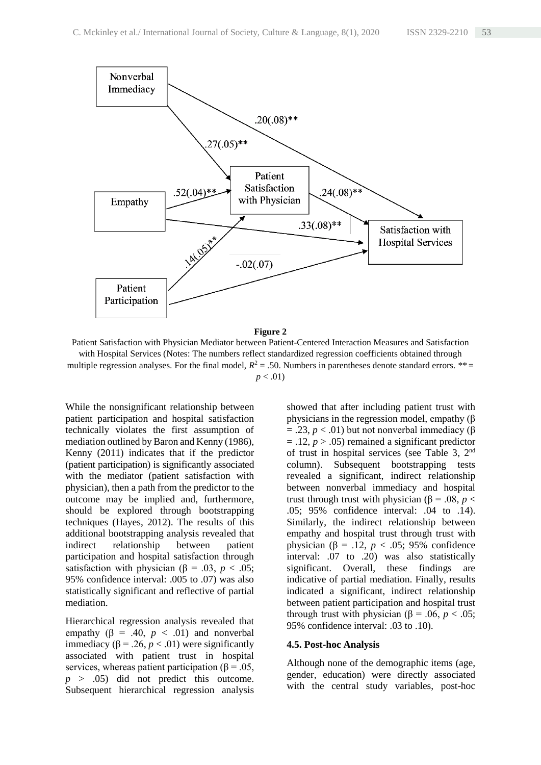

**Figure 2**

Patient Satisfaction with Physician Mediator between Patient-Centered Interaction Measures and Satisfaction with Hospital Services (Notes: The numbers reflect standardized regression coefficients obtained through multiple regression analyses. For the final model,  $R^2 = 0.50$ . Numbers in parentheses denote standard errors. \*\*=  $p < .01$ )

While the nonsignificant relationship between patient participation and hospital satisfaction technically violates the first assumption of mediation outlined by Baron and Kenny (1986), Kenny (2011) indicates that if the predictor (patient participation) is significantly associated with the mediator (patient satisfaction with physician), then a path from the predictor to the outcome may be implied and, furthermore, should be explored through bootstrapping techniques (Hayes, 2012). The results of this additional bootstrapping analysis revealed that indirect relationship between patient participation and hospital satisfaction through satisfaction with physician ( $\beta$  = .03, *p* < .05; 95% confidence interval: .005 to .07) was also statistically significant and reflective of partial mediation.

Hierarchical regression analysis revealed that empathy  $(\beta = .40, p < .01)$  and nonverbal immediacy ( $β = .26, p < .01$ ) were significantly associated with patient trust in hospital services, whereas patient participation ( $\beta = .05$ , *p* > .05) did not predict this outcome. Subsequent hierarchical regression analysis

showed that after including patient trust with physicians in the regression model, empathy (β  $=$  .23,  $p < .01$ ) but not nonverbal immediacy ( $\beta$ )  $=$  .12,  $p > .05$ ) remained a significant predictor of trust in hospital services (see Table 3, 2nd column). Subsequent bootstrapping tests revealed a significant, indirect relationship between nonverbal immediacy and hospital trust through trust with physician (β = .08, *p* < .05; 95% confidence interval: .04 to .14). Similarly, the indirect relationship between empathy and hospital trust through trust with physician ( $\beta$  = .12, *p* < .05; 95% confidence interval: .07 to .20) was also statistically significant. Overall, these findings are indicative of partial mediation. Finally, results indicated a significant, indirect relationship between patient participation and hospital trust through trust with physician ( $\beta$  = .06, *p* < .05; 95% confidence interval: .03 to .10).

#### **4.5. Post-hoc Analysis**

Although none of the demographic items (age, gender, education) were directly associated with the central study variables, post-hoc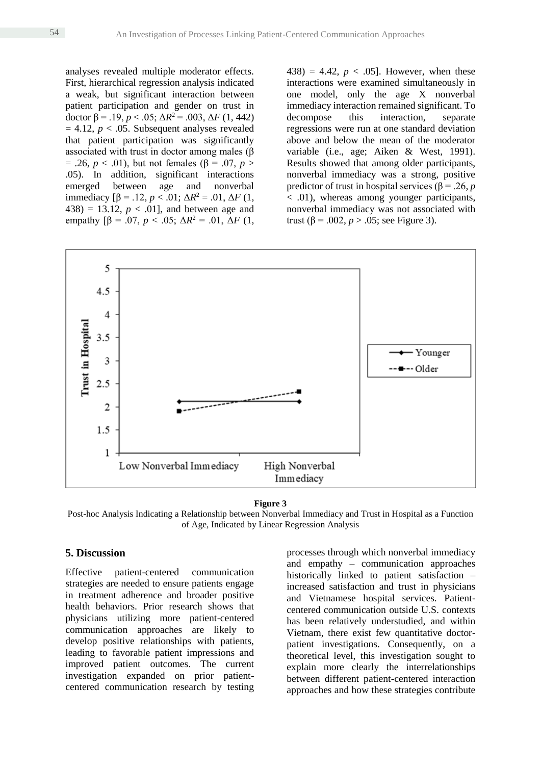analyses revealed multiple moderator effects. First, hierarchical regression analysis indicated a weak, but significant interaction between patient participation and gender on trust in doctor β = .19, *p* < .05;  $\Delta R^2$  = .003,  $\Delta F$  (1, 442)  $= 4.12$ ,  $p < .05$ . Subsequent analyses revealed that patient participation was significantly associated with trust in doctor among males (β  $= .26, p < .01$ , but not females ( $\beta = .07, p >$ .05). In addition, significant interactions emerged between age and nonverbal immediacy  $[\beta = .12, p < .01; \Delta R^2 = .01, \Delta F (1,$ 438) = 13.12,  $p < .01$ ], and between age and empathy  $[\beta = .07, p < .05; \Delta R^2 = .01, \Delta F (1,$  438) = 4.42,  $p < .05$ . However, when these interactions were examined simultaneously in one model, only the age X nonverbal immediacy interaction remained significant. To decompose this interaction, separate regressions were run at one standard deviation above and below the mean of the moderator variable (i.e., age; Aiken & West, 1991). Results showed that among older participants, nonverbal immediacy was a strong, positive predictor of trust in hospital services ( $\beta$  = .26, *p*  $\sim$  .01), whereas among younger participants, nonverbal immediacy was not associated with trust (β = .002, *p* > .05; see Figure 3).





Post-hoc Analysis Indicating a Relationship between Nonverbal Immediacy and Trust in Hospital as a Function of Age, Indicated by Linear Regression Analysis

## **5. Discussion**

Effective patient-centered communication strategies are needed to ensure patients engage in treatment adherence and broader positive health behaviors. Prior research shows that physicians utilizing more patient-centered communication approaches are likely to develop positive relationships with patients, leading to favorable patient impressions and improved patient outcomes. The current investigation expanded on prior patientcentered communication research by testing

processes through which nonverbal immediacy and empathy – communication approaches historically linked to patient satisfaction – increased satisfaction and trust in physicians and Vietnamese hospital services. Patientcentered communication outside U.S. contexts has been relatively understudied, and within Vietnam, there exist few quantitative doctorpatient investigations. Consequently, on a theoretical level, this investigation sought to explain more clearly the interrelationships between different patient-centered interaction approaches and how these strategies contribute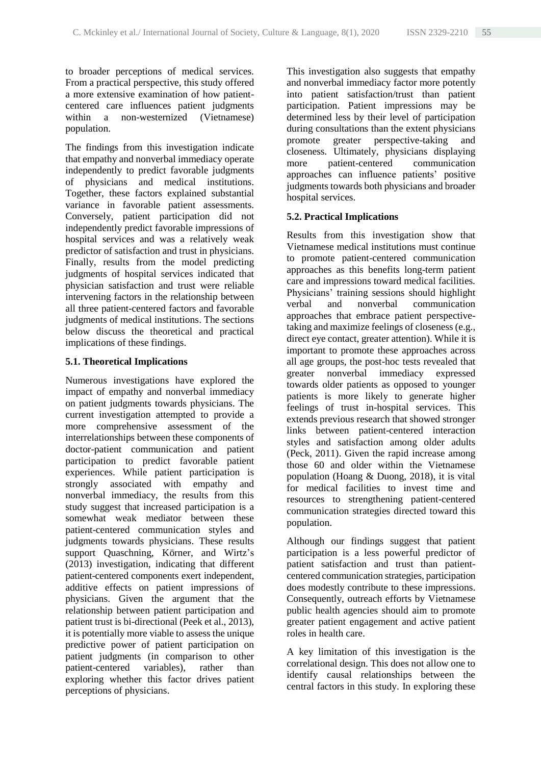to broader perceptions of medical services. From a practical perspective, this study offered a more extensive examination of how patientcentered care influences patient judgments within a non-westernized (Vietnamese) population.

The findings from this investigation indicate that empathy and nonverbal immediacy operate independently to predict favorable judgments of physicians and medical institutions. Together, these factors explained substantial variance in favorable patient assessments. Conversely, patient participation did not independently predict favorable impressions of hospital services and was a relatively weak predictor of satisfaction and trust in physicians. Finally, results from the model predicting judgments of hospital services indicated that physician satisfaction and trust were reliable intervening factors in the relationship between all three patient-centered factors and favorable judgments of medical institutions. The sections below discuss the theoretical and practical implications of these findings.

## **5.1. Theoretical Implications**

Numerous investigations have explored the impact of empathy and nonverbal immediacy on patient judgments towards physicians. The current investigation attempted to provide a more comprehensive assessment of the interrelationships between these components of doctor-patient communication and patient participation to predict favorable patient experiences. While patient participation is strongly associated with empathy and nonverbal immediacy, the results from this study suggest that increased participation is a somewhat weak mediator between these patient-centered communication styles and judgments towards physicians. These results support Quaschning, Körner, and Wirtz's (2013) investigation, indicating that different patient-centered components exert independent, additive effects on patient impressions of physicians. Given the argument that the relationship between patient participation and patient trust is bi-directional (Peek et al., 2013), it is potentially more viable to assess the unique predictive power of patient participation on patient judgments (in comparison to other patient-centered variables), rather than exploring whether this factor drives patient perceptions of physicians.

This investigation also suggests that empathy and nonverbal immediacy factor more potently into patient satisfaction/trust than patient participation. Patient impressions may be determined less by their level of participation during consultations than the extent physicians promote greater perspective-taking and closeness. Ultimately, physicians displaying more patient-centered communication approaches can influence patients' positive judgments towards both physicians and broader hospital services.

# **5.2. Practical Implications**

Results from this investigation show that Vietnamese medical institutions must continue to promote patient-centered communication approaches as this benefits long-term patient care and impressions toward medical facilities. Physicians' training sessions should highlight verbal and nonverbal communication approaches that embrace patient perspectivetaking and maximize feelings of closeness (e.g., direct eye contact, greater attention). While it is important to promote these approaches across all age groups, the post-hoc tests revealed that greater nonverbal immediacy expressed towards older patients as opposed to younger patients is more likely to generate higher feelings of trust in-hospital services. This extends previous research that showed stronger links between patient-centered interaction styles and satisfaction among older adults (Peck, 2011). Given the rapid increase among those 60 and older within the Vietnamese population (Hoang & Duong, 2018), it is vital for medical facilities to invest time and resources to strengthening patient-centered communication strategies directed toward this population.

Although our findings suggest that patient participation is a less powerful predictor of patient satisfaction and trust than patientcentered communication strategies, participation does modestly contribute to these impressions. Consequently, outreach efforts by Vietnamese public health agencies should aim to promote greater patient engagement and active patient roles in health care.

A key limitation of this investigation is the correlational design. This does not allow one to identify causal relationships between the central factors in this study. In exploring these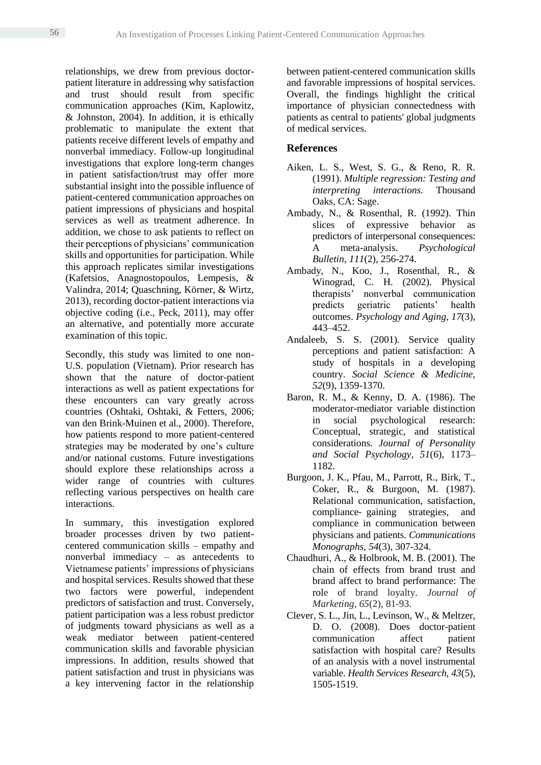relationships, we drew from previous doctorpatient literature in addressing why satisfaction and trust should result from specific communication approaches (Kim, Kaplowitz, & Johnston, 2004). In addition, it is ethically problematic to manipulate the extent that patients receive different levels of empathy and nonverbal immediacy. Follow-up longitudinal investigations that explore long-term changes in patient satisfaction/trust may offer more substantial insight into the possible influence of patient-centered communication approaches on patient impressions of physicians and hospital services as well as treatment adherence. In addition, we chose to ask patients to reflect on their perceptions of physicians' communication skills and opportunities for participation. While this approach replicates similar investigations (Kafetsios, Anagnostopoulos, Lempesis, & Valindra, 2014; Quaschning, Körner, & Wirtz, 2013), recording doctor-patient interactions via objective coding (i.e., Peck, 2011), may offer an alternative, and potentially more accurate examination of this topic.

Secondly, this study was limited to one non-U.S. population (Vietnam). Prior research has shown that the nature of doctor-patient interactions as well as patient expectations for these encounters can vary greatly across countries (Oshtaki, Oshtaki, & Fetters, 2006; van den Brink-Muinen et al., 2000). Therefore, how patients respond to more patient-centered strategies may be moderated by one's culture and/or national customs. Future investigations should explore these relationships across a wider range of countries with cultures reflecting various perspectives on health care interactions.

In summary, this investigation explored broader processes driven by two patientcentered communication skills – empathy and nonverbal immediacy – as antecedents to Vietnamese patients' impressions of physicians and hospital services. Results showed that these two factors were powerful, independent predictors of satisfaction and trust. Conversely, patient participation was a less robust predictor of judgments toward physicians as well as a weak mediator between patient-centered communication skills and favorable physician impressions. In addition, results showed that patient satisfaction and trust in physicians was a key intervening factor in the relationship

between patient-centered communication skills and favorable impressions of hospital services. Overall, the findings highlight the critical importance of physician connectedness with patients as central to patients' global judgments of medical services.

# **References**

- Aiken, L. S., West, S. G., & Reno, R. R. (1991). *Multiple regression: Testing and interpreting interactions.* Thousand Oaks, CA: Sage.
- Ambady, N., & Rosenthal, R. (1992). Thin slices of expressive behavior as predictors of interpersonal consequences: A meta-analysis. *Psychological Bulletin*, *111*(2), 256-274.
- Ambady, N., Koo, J., Rosenthal, R., & Winograd, C. H. (2002). Physical therapists' nonverbal communication predicts geriatric patients' health outcomes. *Psychology and Aging*, *17*(3), 443–452.
- Andaleeb, S. S. (2001). Service quality perceptions and patient satisfaction: A study of hospitals in a developing country. *Social Science & Medicine, 52*(9), 1359-1370.
- Baron, R. M., & Kenny, D. A. (1986). The moderator-mediator variable distinction in social psychological research: Conceptual, strategic, and statistical considerations. *Journal of Personality and Social Psychology*, *51*(6), 1173– 1182.
- Burgoon, J. K., Pfau, M., Parrott, R., Birk, T., Coker, R., & Burgoon, M. (1987). Relational communication, satisfaction, compliance‐ gaining strategies, and compliance in communication between physicians and patients. *Communications Monographs*, *54*(3), 307-324.
- Chaudhuri, A., & Holbrook, M. B. (2001). The chain of effects from brand trust and brand affect to brand performance: The role of brand loyalty. *Journal of Marketing*, *65*(2), 81-93.
- Clever, S. L., Jin, L., Levinson, W., & Meltzer, D. O. (2008). Does doctor-patient communication affect patient satisfaction with hospital care? Results of an analysis with a novel instrumental variable. *Health Services Research*, *43*(5), 1505-1519.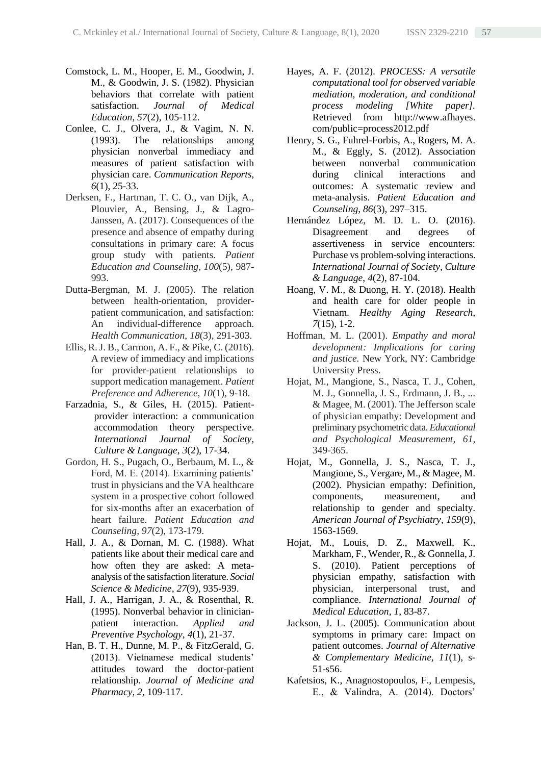- Comstock, L. M., Hooper, E. M., Goodwin, J. M., & Goodwin, J. S. (1982). Physician behaviors that correlate with patient satisfaction. *Journal of Medical Education*, *57*(2), 105-112.
- Conlee, C. J., Olvera, J., & Vagim, N. N. (1993). The relationships among physician nonverbal immediacy and measures of patient satisfaction with physician care. *Communication Reports, 6*(1), 25-33.
- Derksen, F., Hartman, T. C. O., van Dijk, A., Plouvier, A., Bensing, J., & Lagro-Janssen, A. (2017). Consequences of the presence and absence of empathy during consultations in primary care: A focus group study with patients. *Patient Education and Counseling*, *100*(5), 987- 993.
- Dutta-Bergman, M. J. (2005). The relation between health-orientation, providerpatient communication, and satisfaction: An individual-difference approach. *Health Communication*, *18*(3), 291-303.
- Ellis, R. J. B., Carmon, A. F., & Pike, C. (2016). A review of immediacy and implications for provider-patient relationships to support medication management. *Patient Preference and Adherence, 10*(1), 9-18.
- Farzadnia, S., & Giles, H. (2015). Patientprovider interaction: a communication accommodation theory perspective. *International Journal of Society, Culture & Language*, *3*(2), 17-34.
- Gordon, H. S., Pugach, O., Berbaum, M. L., & Ford, M. E. (2014). Examining patients' trust in physicians and the VA healthcare system in a prospective cohort followed for six-months after an exacerbation of heart failure. *Patient Education and Counseling, 97*(2), 173-179.
- Hall, J. A., & Dornan, M. C. (1988). What patients like about their medical care and how often they are asked: A metaanalysis of the satisfaction literature. *Social Science & Medicine*, *27*(9), 935-939.
- Hall, J. A., Harrigan, J. A., & Rosenthal, R. (1995). Nonverbal behavior in clinicianpatient interaction. *Applied and Preventive Psychology*, *4*(1), 21-37.
- Han, B. T. H., Dunne, M. P., & FitzGerald, G. (2013). Vietnamese medical students' attitudes toward the doctor-patient relationship. *Journal of Medicine and Pharmacy, 2,* 109-117.
- Hayes, A. F. (2012). *PROCESS: A versatile computational tool for observed variable mediation, moderation, and conditional process modeling [White paper].*  Retrieved from http://www.afhayes. com/public=process2012.pdf
- Henry, S. G., Fuhrel-Forbis, A., Rogers, M. A. M., & Eggly, S. (2012). Association between nonverbal communication during clinical interactions and outcomes: A systematic review and meta-analysis. *Patient Education and Counseling*, *86*(3), 297–315.
- Hernández López, M. D. L. O. (2016). Disagreement and degrees of assertiveness in service encounters: Purchase vs problem-solving interactions. *International Journal of Society, Culture & Language*, *4*(2), 87-104.
- Hoang, V. M., & Duong, H. Y. (2018). Health and health care for older people in Vietnam. *Healthy Aging Research, 7*(15), 1-2.
- Hoffman, M. L. (2001). *Empathy and moral development: Implications for caring and justice.* New York, NY: Cambridge University Press.
- Hojat, M., Mangione, S., Nasca, T. J., Cohen, M. J., Gonnella, J. S., Erdmann, J. B., ... & Magee, M. (2001). The Jefferson scale of physician empathy: Development and preliminary psychometric data. *Educational and Psychological Measurement*, *61*, 349-365.
- Hojat, M., Gonnella, J. S., Nasca, T. J., Mangione, S., Vergare, M., & Magee, M. (2002). Physician empathy: Definition, components, measurement, and relationship to gender and specialty. *American Journal of Psychiatry*, *159*(9), 1563-1569.
- Hojat, M., Louis, D. Z., Maxwell, K., Markham, F., Wender, R., & Gonnella, J. S. (2010). Patient perceptions of physician empathy, satisfaction with physician, interpersonal trust, and compliance. *International Journal of Medical Education*, *1*, 83-87.
- Jackson, J. L. (2005). Communication about symptoms in primary care: Impact on patient outcomes. *Journal of Alternative & Complementary Medicine, 11*(1), s-51-s56.
- Kafetsios, K., Anagnostopoulos, F., Lempesis, E., & Valindra, A. (2014). Doctors'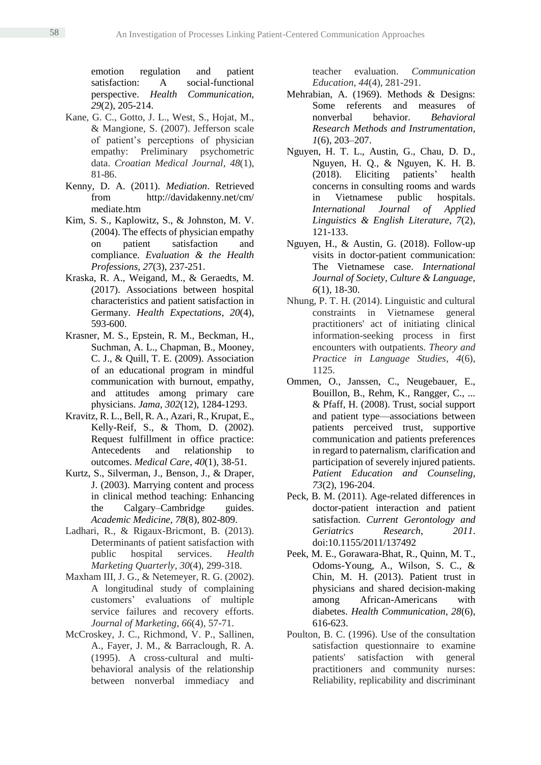emotion regulation and patient satisfaction: A social-functional perspective. *Health Communication, 29*(2), 205-214.

- Kane, G. C., Gotto, J. L., West, S., Hojat, M., & Mangione, S. (2007). Jefferson scale of patient's perceptions of physician empathy: Preliminary psychometric data. *Croatian Medical Journal*, *48*(1), 81-86.
- Kenny, D. A. (2011). *Mediation*. Retrieved from http://davidakenny.net/cm/ mediate.htm
- Kim, S. S., Kaplowitz, S., & Johnston, M. V. (2004). The effects of physician empathy on patient satisfaction and compliance. *Evaluation & the Health Professions, 27*(3), 237-251.
- Kraska, R. A., Weigand, M., & Geraedts, M. (2017). Associations between hospital characteristics and patient satisfaction in Germany. *Health Expectations*, *20*(4), 593-600.
- Krasner, M. S., Epstein, R. M., Beckman, H., Suchman, A. L., Chapman, B., Mooney, C. J., & Quill, T. E. (2009). Association of an educational program in mindful communication with burnout, empathy, and attitudes among primary care physicians. *Jama, 302*(12), 1284-1293.
- Kravitz, R. L., Bell, R. A., Azari, R., Krupat, E., Kelly-Reif, S., & Thom, D. (2002). Request fulfillment in office practice: Antecedents and relationship to outcomes. *Medical Care*, *40*(1), 38-51.
- Kurtz, S., Silverman, J., Benson, J., & Draper, J. (2003). Marrying content and process in clinical method teaching: Enhancing the Calgary–Cambridge guides. *Academic Medicine, 78*(8), 802-809.
- Ladhari, R., & Rigaux-Bricmont, B. (2013). Determinants of patient satisfaction with public hospital services. *Health Marketing Quarterly*, *30*(4), 299-318.
- Maxham III, J. G., & Netemeyer, R. G. (2002). A longitudinal study of complaining customers' evaluations of multiple service failures and recovery efforts. *Journal of Marketing, 66*(4), 57-71.
- McCroskey, J. C., Richmond, V. P., Sallinen, A., Fayer, J. M., & Barraclough, R. A. (1995). A cross‐cultural and multi‐ behavioral analysis of the relationship between nonverbal immediacy and

teacher evaluation. *Communication Education, 44*(4), 281-291.

- Mehrabian, A. (1969). Methods & Designs: Some referents and measures of nonverbal behavior. *Behavioral Research Methods and Instrumentation*, *1*(6), 203–207.
- Nguyen, H. T. L., Austin, G., Chau, D. D., Nguyen, H. Q., & Nguyen, K. H. B. (2018). Eliciting patients' health concerns in consulting rooms and wards in Vietnamese public hospitals. *International Journal of Applied Linguistics & English Literature*, *7*(2), 121-133.
- Nguyen, H., & Austin, G. (2018). Follow-up visits in doctor-patient communication: The Vietnamese case. *International Journal of Society, Culture & Language, 6*(1), 18-30.
- Nhung, P. T. H. (2014). Linguistic and cultural constraints in Vietnamese general practitioners' act of initiating clinical information-seeking process in first encounters with outpatients. *Theory and Practice in Language Studies*, *4*(6), 1125.
- Ommen, O., Janssen, C., Neugebauer, E., Bouillon, B., Rehm, K., Rangger, C., ... & Pfaff, H. (2008). Trust, social support and patient type—associations between patients perceived trust, supportive communication and patients preferences in regard to paternalism, clarification and participation of severely injured patients. *Patient Education and Counseling*, *73*(2), 196-204.
- Peck, B. M. (2011). Age-related differences in doctor-patient interaction and patient satisfaction. *Current Gerontology and Geriatrics Research*, *2011*. doi:10.1155/2011/137492
- Peek, M. E., Gorawara-Bhat, R., Quinn, M. T., Odoms-Young, A., Wilson, S. C., & Chin, M. H. (2013). Patient trust in physicians and shared decision-making among African-Americans with diabetes. *Health Communication*, *28*(6), 616-623.
- Poulton, B. C. (1996). Use of the consultation satisfaction questionnaire to examine patients' satisfaction with general practitioners and community nurses: Reliability, replicability and discriminant